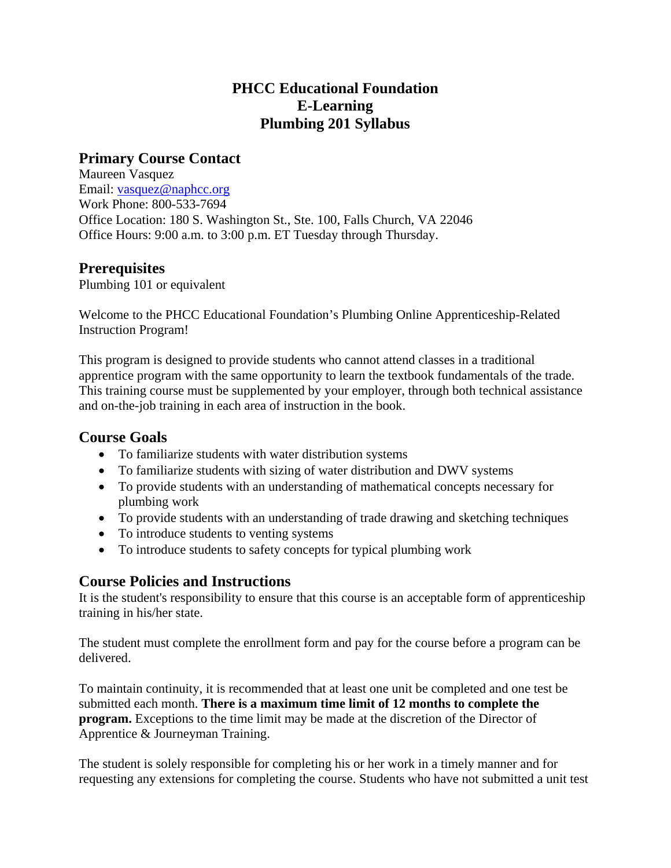# **PHCC Educational Foundation E-Learning Plumbing 201 Syllabus**

# **Primary Course Contact**

Maureen Vasquez Email: vasquez@naphcc.org Work Phone: 800-533-7694 Office Location: 180 S. Washington St., Ste. 100, Falls Church, VA 22046 Office Hours: 9:00 a.m. to 3:00 p.m. ET Tuesday through Thursday.

## **Prerequisites**

Plumbing 101 or equivalent

Welcome to the PHCC Educational Foundation's Plumbing Online Apprenticeship-Related Instruction Program!

This program is designed to provide students who cannot attend classes in a traditional apprentice program with the same opportunity to learn the textbook fundamentals of the trade. This training course must be supplemented by your employer, through both technical assistance and on-the-job training in each area of instruction in the book.

## **Course Goals**

- To familiarize students with water distribution systems
- To familiarize students with sizing of water distribution and DWV systems
- To provide students with an understanding of mathematical concepts necessary for plumbing work
- To provide students with an understanding of trade drawing and sketching techniques
- To introduce students to venting systems
- To introduce students to safety concepts for typical plumbing work

# **Course Policies and Instructions**

It is the student's responsibility to ensure that this course is an acceptable form of apprenticeship training in his/her state.

The student must complete the enrollment form and pay for the course before a program can be delivered.

To maintain continuity, it is recommended that at least one unit be completed and one test be submitted each month. **There is a maximum time limit of 12 months to complete the program.** Exceptions to the time limit may be made at the discretion of the Director of Apprentice & Journeyman Training.

The student is solely responsible for completing his or her work in a timely manner and for requesting any extensions for completing the course. Students who have not submitted a unit test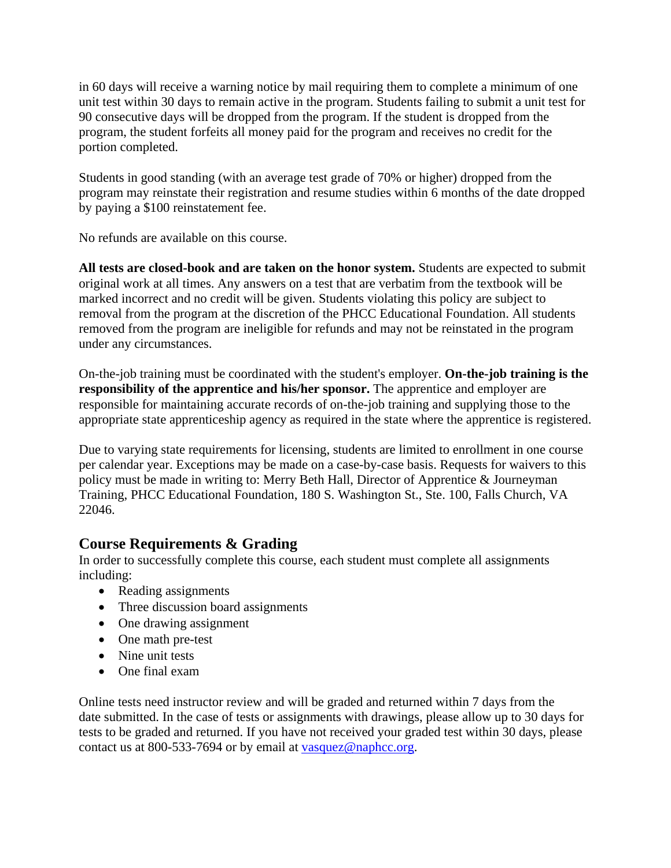in 60 days will receive a warning notice by mail requiring them to complete a minimum of one unit test within 30 days to remain active in the program. Students failing to submit a unit test for 90 consecutive days will be dropped from the program. If the student is dropped from the program, the student forfeits all money paid for the program and receives no credit for the portion completed.

Students in good standing (with an average test grade of 70% or higher) dropped from the program may reinstate their registration and resume studies within 6 months of the date dropped by paying a \$100 reinstatement fee.

No refunds are available on this course.

**All tests are closed-book and are taken on the honor system.** Students are expected to submit original work at all times. Any answers on a test that are verbatim from the textbook will be marked incorrect and no credit will be given. Students violating this policy are subject to removal from the program at the discretion of the PHCC Educational Foundation. All students removed from the program are ineligible for refunds and may not be reinstated in the program under any circumstances.

On-the-job training must be coordinated with the student's employer. **On-the-job training is the responsibility of the apprentice and his/her sponsor.** The apprentice and employer are responsible for maintaining accurate records of on-the-job training and supplying those to the appropriate state apprenticeship agency as required in the state where the apprentice is registered.

Due to varying state requirements for licensing, students are limited to enrollment in one course per calendar year. Exceptions may be made on a case-by-case basis. Requests for waivers to this policy must be made in writing to: Merry Beth Hall, Director of Apprentice & Journeyman Training, PHCC Educational Foundation, 180 S. Washington St., Ste. 100, Falls Church, VA 22046.

# **Course Requirements & Grading**

In order to successfully complete this course, each student must complete all assignments including:

- Reading assignments
- Three discussion board assignments
- One drawing assignment
- One math pre-test
- Nine unit tests
- One final exam

Online tests need instructor review and will be graded and returned within 7 days from the date submitted. In the case of tests or assignments with drawings, please allow up to 30 days for tests to be graded and returned. If you have not received your graded test within 30 days, please contact us at 800-533-7694 or by email at vasquez@naphcc.org.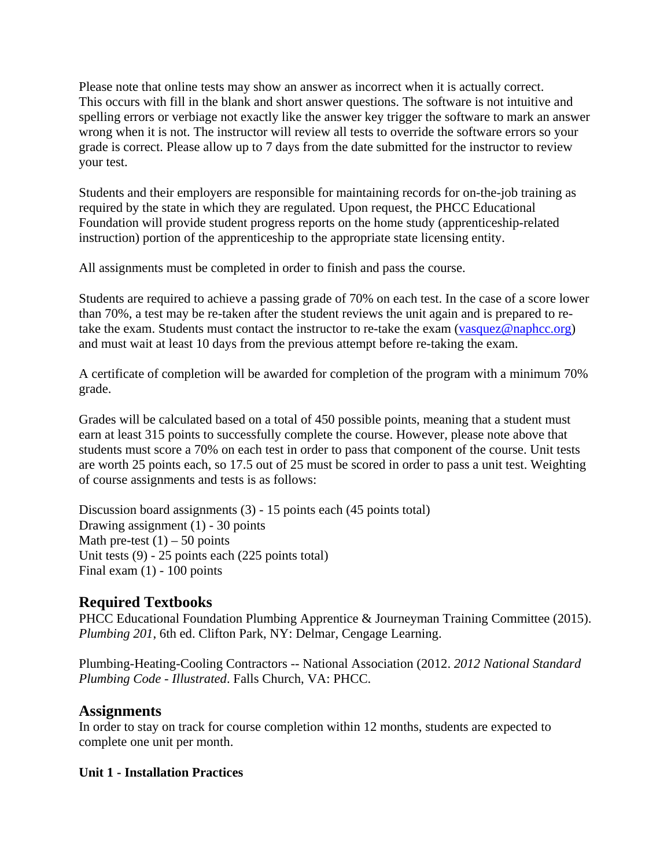Please note that online tests may show an answer as incorrect when it is actually correct. This occurs with fill in the blank and short answer questions. The software is not intuitive and spelling errors or verbiage not exactly like the answer key trigger the software to mark an answer wrong when it is not. The instructor will review all tests to override the software errors so your grade is correct. Please allow up to 7 days from the date submitted for the instructor to review your test.

Students and their employers are responsible for maintaining records for on-the-job training as required by the state in which they are regulated. Upon request, the PHCC Educational Foundation will provide student progress reports on the home study (apprenticeship-related instruction) portion of the apprenticeship to the appropriate state licensing entity.

All assignments must be completed in order to finish and pass the course.

Students are required to achieve a passing grade of 70% on each test. In the case of a score lower than 70%, a test may be re-taken after the student reviews the unit again and is prepared to retake the exam. Students must contact the instructor to re-take the exam (vasquez@naphcc.org) and must wait at least 10 days from the previous attempt before re-taking the exam.

A certificate of completion will be awarded for completion of the program with a minimum 70% grade.

Grades will be calculated based on a total of 450 possible points, meaning that a student must earn at least 315 points to successfully complete the course. However, please note above that students must score a 70% on each test in order to pass that component of the course. Unit tests are worth 25 points each, so 17.5 out of 25 must be scored in order to pass a unit test. Weighting of course assignments and tests is as follows:

Discussion board assignments (3) - 15 points each (45 points total) Drawing assignment (1) - 30 points Math pre-test  $(1)$  – 50 points Unit tests (9) - 25 points each (225 points total) Final exam  $(1)$  - 100 points

# **Required Textbooks**

PHCC Educational Foundation Plumbing Apprentice & Journeyman Training Committee (2015). *Plumbing 201*, 6th ed. Clifton Park, NY: Delmar, Cengage Learning.

Plumbing-Heating-Cooling Contractors -- National Association (2012. *2012 National Standard Plumbing Code - Illustrated*. Falls Church, VA: PHCC.

## **Assignments**

In order to stay on track for course completion within 12 months, students are expected to complete one unit per month.

#### **Unit 1 - Installation Practices**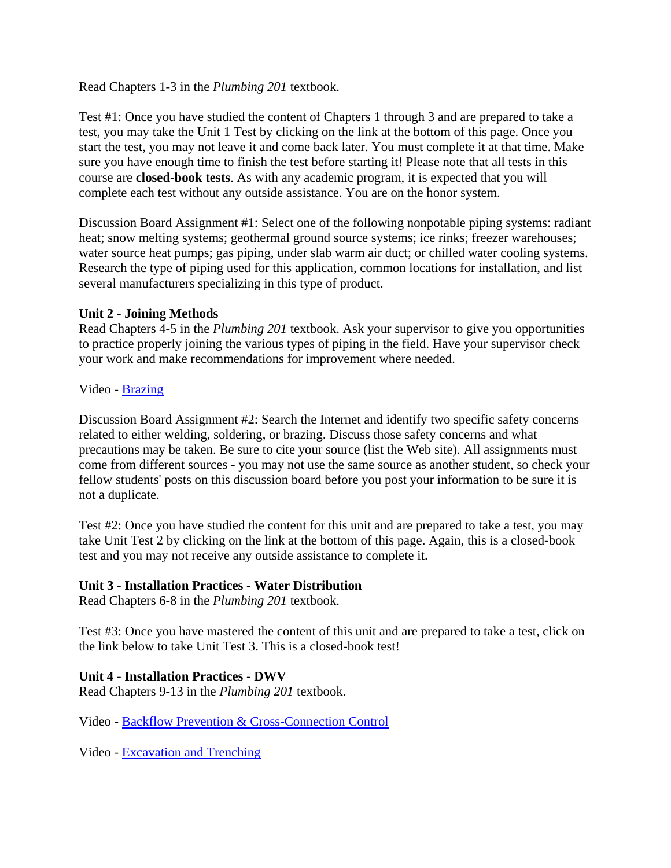Read Chapters 1-3 in the *Plumbing 201* textbook.

Test #1: Once you have studied the content of Chapters 1 through 3 and are prepared to take a test, you may take the Unit 1 Test by clicking on the link at the bottom of this page. Once you start the test, you may not leave it and come back later. You must complete it at that time. Make sure you have enough time to finish the test before starting it! Please note that all tests in this course are **closed-book tests**. As with any academic program, it is expected that you will complete each test without any outside assistance. You are on the honor system.

Discussion Board Assignment #1: Select one of the following nonpotable piping systems: radiant heat; snow melting systems; geothermal ground source systems; ice rinks; freezer warehouses; water source heat pumps; gas piping, under slab warm air duct; or chilled water cooling systems. Research the type of piping used for this application, common locations for installation, and list several manufacturers specializing in this type of product.

### **Unit 2 - Joining Methods**

Read Chapters 4-5 in the *Plumbing 201* textbook. Ask your supervisor to give you opportunities to practice properly joining the various types of piping in the field. Have your supervisor check your work and make recommendations for improvement where needed.

### Video - Brazing

Discussion Board Assignment #2: Search the Internet and identify two specific safety concerns related to either welding, soldering, or brazing. Discuss those safety concerns and what precautions may be taken. Be sure to cite your source (list the Web site). All assignments must come from different sources - you may not use the same source as another student, so check your fellow students' posts on this discussion board before you post your information to be sure it is not a duplicate.

Test #2: Once you have studied the content for this unit and are prepared to take a test, you may take Unit Test 2 by clicking on the link at the bottom of this page. Again, this is a closed-book test and you may not receive any outside assistance to complete it.

#### **Unit 3 - Installation Practices - Water Distribution**

Read Chapters 6-8 in the *Plumbing 201* textbook.

Test #3: Once you have mastered the content of this unit and are prepared to take a test, click on the link below to take Unit Test 3. This is a closed-book test!

## **Unit 4 - Installation Practices - DWV**

Read Chapters 9-13 in the *Plumbing 201* textbook.

Video - Backflow Prevention & Cross-Connection Control

Video - Excavation and Trenching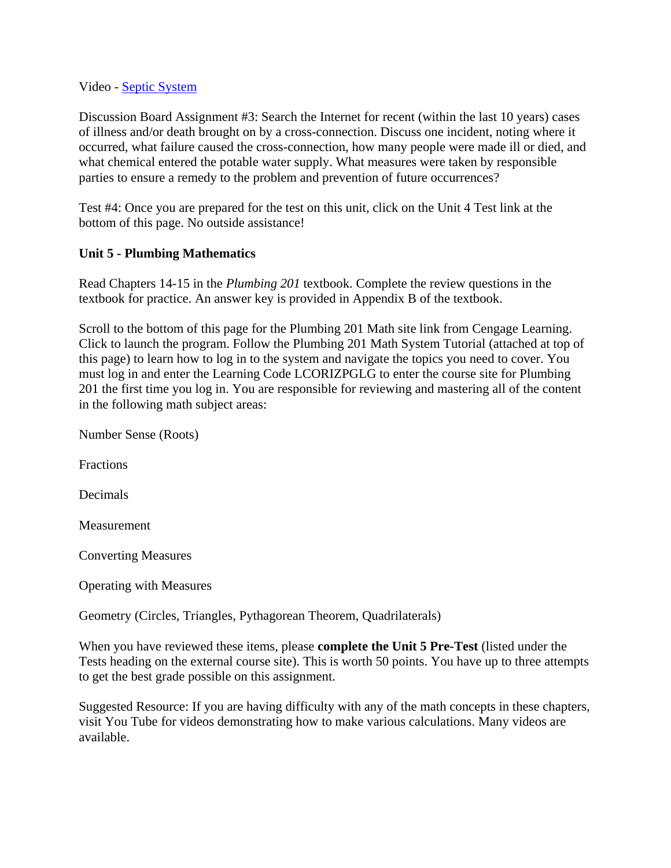#### Video - Septic System

Discussion Board Assignment #3: Search the Internet for recent (within the last 10 years) cases of illness and/or death brought on by a cross-connection. Discuss one incident, noting where it occurred, what failure caused the cross-connection, how many people were made ill or died, and what chemical entered the potable water supply. What measures were taken by responsible parties to ensure a remedy to the problem and prevention of future occurrences?

Test #4: Once you are prepared for the test on this unit, click on the Unit 4 Test link at the bottom of this page. No outside assistance!

### **Unit 5 - Plumbing Mathematics**

Read Chapters 14-15 in the *Plumbing 201* textbook. Complete the review questions in the textbook for practice. An answer key is provided in Appendix B of the textbook.

Scroll to the bottom of this page for the Plumbing 201 Math site link from Cengage Learning. Click to launch the program. Follow the Plumbing 201 Math System Tutorial (attached at top of this page) to learn how to log in to the system and navigate the topics you need to cover. You must log in and enter the Learning Code LCORIZPGLG to enter the course site for Plumbing 201 the first time you log in. You are responsible for reviewing and mastering all of the content in the following math subject areas:

| Number Sense (Roots) |
|----------------------|
|                      |

Fractions

Decimals

**Measurement** 

Converting Measures

Operating with Measures

Geometry (Circles, Triangles, Pythagorean Theorem, Quadrilaterals)

When you have reviewed these items, please **complete the Unit 5 Pre-Test** (listed under the Tests heading on the external course site). This is worth 50 points. You have up to three attempts to get the best grade possible on this assignment.

Suggested Resource: If you are having difficulty with any of the math concepts in these chapters, visit You Tube for videos demonstrating how to make various calculations. Many videos are available.